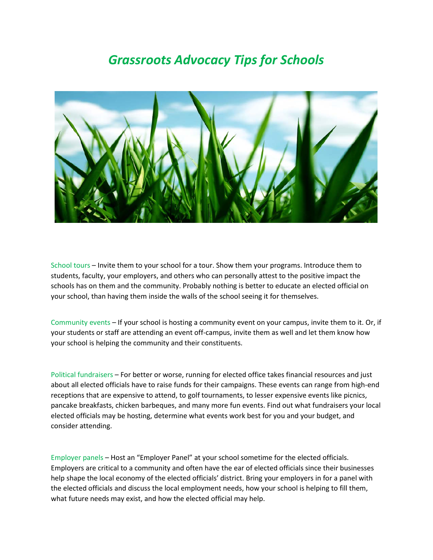## *Grassroots Advocacy Tips for Schools*



School tours – Invite them to your school for a tour. Show them your programs. Introduce them to students, faculty, your employers, and others who can personally attest to the positive impact the schools has on them and the community. Probably nothing is better to educate an elected official on your school, than having them inside the walls of the school seeing it for themselves.

Community events – If your school is hosting a community event on your campus, invite them to it. Or, if your students or staff are attending an event off-campus, invite them as well and let them know how your school is helping the community and their constituents.

Political fundraisers – For better or worse, running for elected office takes financial resources and just about all elected officials have to raise funds for their campaigns. These events can range from high-end receptions that are expensive to attend, to golf tournaments, to lesser expensive events like picnics, pancake breakfasts, chicken barbeques, and many more fun events. Find out what fundraisers your local elected officials may be hosting, determine what events work best for you and your budget, and consider attending.

Employer panels – Host an "Employer Panel" at your school sometime for the elected officials. Employers are critical to a community and often have the ear of elected officials since their businesses help shape the local economy of the elected officials' district. Bring your employers in for a panel with the elected officials and discuss the local employment needs, how your school is helping to fill them, what future needs may exist, and how the elected official may help.